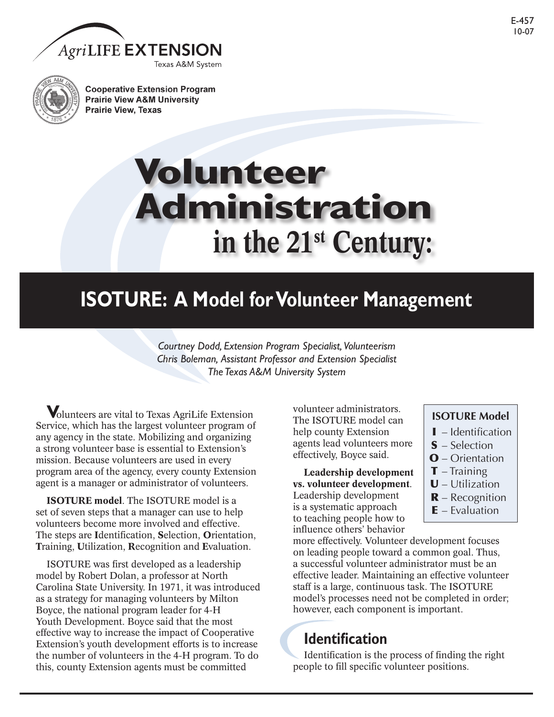



**Cooperative Extension Program Prairie View A&M University Prairie View, Texas** 

# **in the 21st Century: Volunteer Administration**

# **ISOTURE: A Model for Volunteer Management**

*Courtney Dodd, Extension Program Specialist, Volunteerism Chris Boleman, Assistant Professor and Extension Specialist The Texas A&M University System*

**V**olunteers are vital to Texas AgriLife Extension Service, which has the largest volunteer program of any agency in the state. Mobilizing and organizing a strong volunteer base is essential to Extension's mission. Because volunteers are used in every program area of the agency, every county Extension agent is a manager or administrator of volunteers.

**ISOTURE model**. The ISOTURE model is a set of seven steps that a manager can use to help volunteers become more involved and effective. The steps are **I**dentification, **S**election, **O**rientation, **T**raining, **U**tilization, **R**ecognition and **E**valuation.

ISOTURE was first developed as a leadership model by Robert Dolan, a professor at North Carolina State University. In 1971, it was introduced as a strategy for managing volunteers by Milton Boyce, the national program leader for 4-H Youth Development. Boyce said that the most effective way to increase the impact of Cooperative Extension's youth development efforts is to increase the number of volunteers in the 4-H program. To do this, county Extension agents must be committed

volunteer administrators. The ISOTURE model can help county Extension agents lead volunteers more effectively, Boyce said.

**Leadership development vs. volunteer development**. Leadership development is a systematic approach to teaching people how to influence others' behavior

more effectively. Volunteer development focuses on leading people toward a common goal. Thus, a successful volunteer administrator must be an effective leader. Maintaining an effective volunteer staff is a large, continuous task. The ISOTURE model's processes need not be completed in order; however, each component is important.

### **Identification**

Identification is the process of finding the right people to fill specific volunteer positions.

### **ISOTURE Model**

- $\blacksquare$  Identification
- S Selection
- O Orientation
- $\mathbf{T}$  Training
- $U$  Utilization
- $\mathbf{R}$  Recognition
- $E$  Evaluation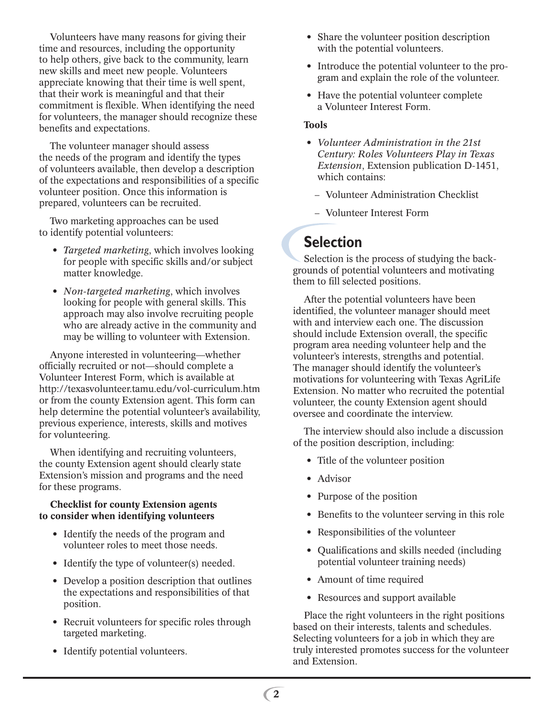Volunteers have many reasons for giving their time and resources, including the opportunity to help others, give back to the community, learn new skills and meet new people. Volunteers appreciate knowing that their time is well spent, that their work is meaningful and that their commitment is flexible. When identifying the need for volunteers, the manager should recognize these benefits and expectations.

The volunteer manager should assess the needs of the program and identify the types of volunteers available, then develop a description of the expectations and responsibilities of a specific volunteer position. Once this information is prepared, volunteers can be recruited.

Two marketing approaches can be used to identify potential volunteers:

- *Targeted marketing*, which involves looking for people with specific skills and/or subject matter knowledge.
- *Non-targeted marketing*, which involves looking for people with general skills. This approach may also involve recruiting people who are already active in the community and may be willing to volunteer with Extension.

Anyone interested in volunteering—whether officially recruited or not—should complete a Volunteer Interest Form, which is available at http://texasvolunteer.tamu.edu/vol-curriculum.htm or from the county Extension agent. This form can help determine the potential volunteer's availability, previous experience, interests, skills and motives for volunteering.

When identifying and recruiting volunteers, the county Extension agent should clearly state Extension's mission and programs and the need for these programs.

#### **Checklist for county Extension agents to consider when identifying volunteers**

- Identify the needs of the program and volunteer roles to meet those needs.
- Identify the type of volunteer(s) needed.
- Develop a position description that outlines the expectations and responsibilities of that position.
- Recruit volunteers for specific roles through targeted marketing.
- Identify potential volunteers.
- Share the volunteer position description with the potential volunteers.
- Introduce the potential volunteer to the program and explain the role of the volunteer.
- Have the potential volunteer complete a Volunteer Interest Form.

#### **Tools**

- *Volunteer Administration in the 21st Century: Roles Volunteers Play in Texas Extension*, Extension publication D-1451, which contains:
	- Volunteer Administration Checklist
	- Volunteer Interest Form

### **Selection**

Selection is the process of studying the backgrounds of potential volunteers and motivating them to fill selected positions.

After the potential volunteers have been identified, the volunteer manager should meet with and interview each one. The discussion should include Extension overall, the specific program area needing volunteer help and the volunteer's interests, strengths and potential. The manager should identify the volunteer's motivations for volunteering with Texas AgriLife Extension. No matter who recruited the potential volunteer, the county Extension agent should oversee and coordinate the interview.

The interview should also include a discussion of the position description, including:

- Title of the volunteer position
- Advisor
- Purpose of the position
- Benefits to the volunteer serving in this role
- Responsibilities of the volunteer
- Qualifications and skills needed (including potential volunteer training needs)
- Amount of time required
- Resources and support available

Place the right volunteers in the right positions based on their interests, talents and schedules. Selecting volunteers for a job in which they are truly interested promotes success for the volunteer and Extension.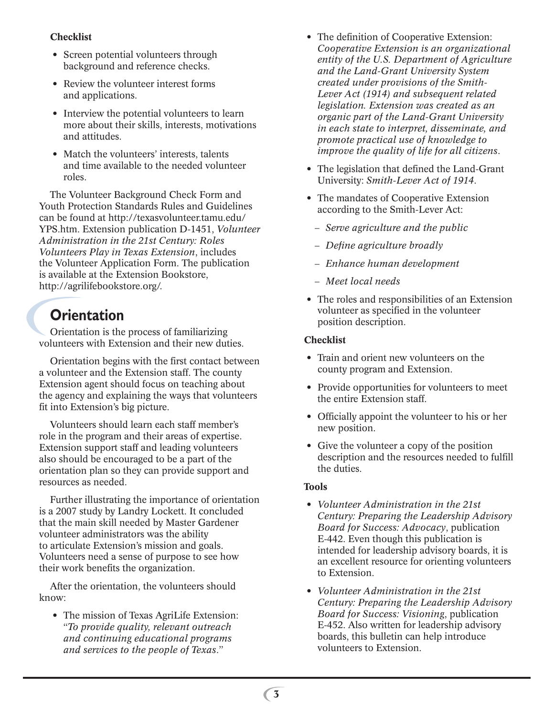### **Checklist**

- Screen potential volunteers through background and reference checks.
- Review the volunteer interest forms and applications.
- Interview the potential volunteers to learn more about their skills, interests, motivations and attitudes.
- Match the volunteers' interests, talents and time available to the needed volunteer roles.

The Volunteer Background Check Form and Youth Protection Standards Rules and Guidelines can be found at http://texasvolunteer.tamu.edu/ YPS.htm. Extension publication D-1451, *Volunteer Administration in the 21st Century: Roles Volunteers Play in Texas Extension*, includes the Volunteer Application Form. The publication is available at the Extension Bookstore, http://agrilifebookstore.org/.

### **Orientation**

Orientation is the process of familiarizing volunteers with Extension and their new duties.

Orientation begins with the first contact between a volunteer and the Extension staff. The county Extension agent should focus on teaching about the agency and explaining the ways that volunteers fit into Extension's big picture.

Volunteers should learn each staff member's role in the program and their areas of expertise. Extension support staff and leading volunteers also should be encouraged to be a part of the orientation plan so they can provide support and resources as needed.

Further illustrating the importance of orientation is a 2007 study by Landry Lockett. It concluded that the main skill needed by Master Gardener volunteer administrators was the ability to articulate Extension's mission and goals. Volunteers need a sense of purpose to see how their work benefits the organization.

After the orientation, the volunteers should know:

• The mission of Texas AgriLife Extension: "*To provide quality, relevant outreach and continuing educational programs and services to the people of Texas*."

- The definition of Cooperative Extension: *Cooperative Extension is an organizational entity of the U.S. Department of Agriculture and the Land-Grant University System created under provisions of the Smith-Lever Act (1914) and subsequent related legislation. Extension was created as an organic part of the Land-Grant University in each state to interpret, disseminate, and promote practical use of knowledge to improve the quality of life for all citizens*.
- The legislation that defined the Land-Grant University: *Smith-Lever Act of 1914*.
- The mandates of Cooperative Extension according to the Smith-Lever Act:
	- *Serve agriculture and the public*
	- *Define agriculture broadly*
	- *Enhance human development*
	- *Meet local needs*
- The roles and responsibilities of an Extension volunteer as specified in the volunteer position description.

#### **Checklist**

- Train and orient new volunteers on the county program and Extension.
- Provide opportunities for volunteers to meet the entire Extension staff.
- Officially appoint the volunteer to his or her new position.
- Give the volunteer a copy of the position description and the resources needed to fulfill the duties.

#### **Tools**

- *Volunteer Administration in the 21st Century: Preparing the Leadership Advisory Board for Success: Advocacy*, publication E-442. Even though this publication is intended for leadership advisory boards, it is an excellent resource for orienting volunteers to Extension.
- *Volunteer Administration in the 21st Century: Preparing the Leadership Advisory Board for Success: Visioning*, publication E-452. Also written for leadership advisory boards, this bulletin can help introduce volunteers to Extension.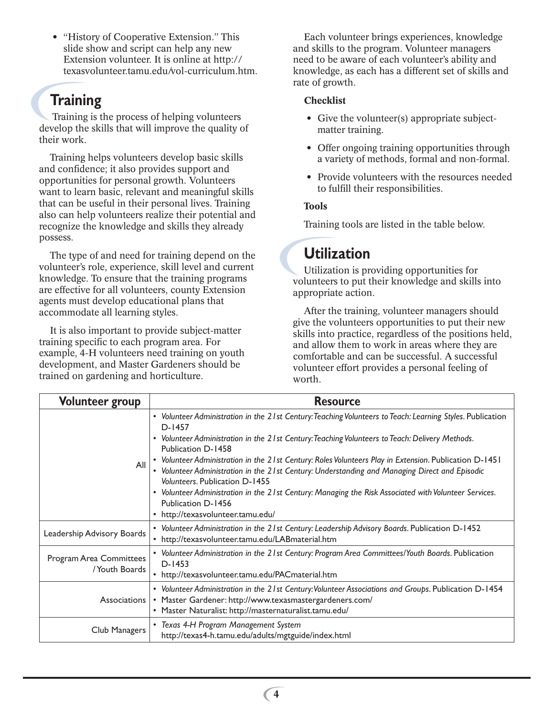• "History of Cooperative Extension." This slide show and script can help any new Extension volunteer. It is online at http:// texasvolunteer.tamu.edu/vol-curriculum.htm.

### **Training**

 Training is the process of helping volunteers develop the skills that will improve the quality of their work.

Training helps volunteers develop basic skills and confidence; it also provides support and opportunities for personal growth. Volunteers want to learn basic, relevant and meaningful skills that can be useful in their personal lives. Training also can help volunteers realize their potential and recognize the knowledge and skills they already possess.

The type of and need for training depend on the volunteer's role, experience, skill level and current knowledge. To ensure that the training programs are effective for all volunteers, county Extension agents must develop educational plans that accommodate all learning styles.

It is also important to provide subject-matter training specific to each program area. For example, 4-H volunteers need training on youth development, and Master Gardeners should be trained on gardening and horticulture.

Each volunteer brings experiences, knowledge and skills to the program. Volunteer managers need to be aware of each volunteer's ability and knowledge, as each has a different set of skills and rate of growth.

#### **Checklist**

- Give the volunteer(s) appropriate subjectmatter training.
- Offer ongoing training opportunities through a variety of methods, formal and non-formal.
- Provide volunteers with the resources needed to fulfill their responsibilities.

### **Tools**

Training tools are listed in the table below.

### **Utilization**

Utilization is providing opportunities for volunteers to put their knowledge and skills into appropriate action.

After the training, volunteer managers should give the volunteers opportunities to put their new skills into practice, regardless of the positions held, and allow them to work in areas where they are comfortable and can be successful. A successful volunteer effort provides a personal feeling of worth.

| <b>Volunteer group</b>                   | <b>Resource</b>                                                                                                                                                                                                                                                                                                                                                                                                                                                                                                                                                                                                                                                 |  |  |  |  |
|------------------------------------------|-----------------------------------------------------------------------------------------------------------------------------------------------------------------------------------------------------------------------------------------------------------------------------------------------------------------------------------------------------------------------------------------------------------------------------------------------------------------------------------------------------------------------------------------------------------------------------------------------------------------------------------------------------------------|--|--|--|--|
| All                                      | • Volunteer Administration in the 21st Century: Teaching Volunteers to Teach: Learning Styles. Publication<br>$D-1457$<br>• Volunteer Administration in the 21st Century: Teaching Volunteers to Teach: Delivery Methods.<br>Publication D-1458<br>• Volunteer Administration in the 21st Century: Roles Volunteers Play in Extension. Publication D-1451<br>Volunteer Administration in the 21st Century: Understanding and Managing Direct and Episodic<br>Volunteers. Publication D-1455<br>• Volunteer Administration in the 21st Century: Managing the Risk Associated with Volunteer Services.<br>Publication D-1456<br>• http://texasvolunteer.tamu.edu/ |  |  |  |  |
| Leadership Advisory Boards               | Volunteer Administration in the 21st Century: Leadership Advisory Boards. Publication D-1452<br>• http://texasvolunteer.tamu.edu/LABmaterial.htm                                                                                                                                                                                                                                                                                                                                                                                                                                                                                                                |  |  |  |  |
| Program Area Committees<br>/Youth Boards | • Volunteer Administration in the 21st Century: Program Area Committees/Youth Boards. Publication<br>$D-1453$<br>• http://texasvolunteer.tamu.edu/PACmaterial.htm                                                                                                                                                                                                                                                                                                                                                                                                                                                                                               |  |  |  |  |
| Associations                             | • Volunteer Administration in the 21st Century: Volunteer Associations and Groups. Publication D-1454<br>• Master Gardener: http://www.texasmastergardeners.com/<br>• Master Naturalist: http://masternaturalist.tamu.edu/                                                                                                                                                                                                                                                                                                                                                                                                                                      |  |  |  |  |
| Club Managers                            | • Texas 4-H Program Management System<br>http://texas4-h.tamu.edu/adults/mgtguide/index.html                                                                                                                                                                                                                                                                                                                                                                                                                                                                                                                                                                    |  |  |  |  |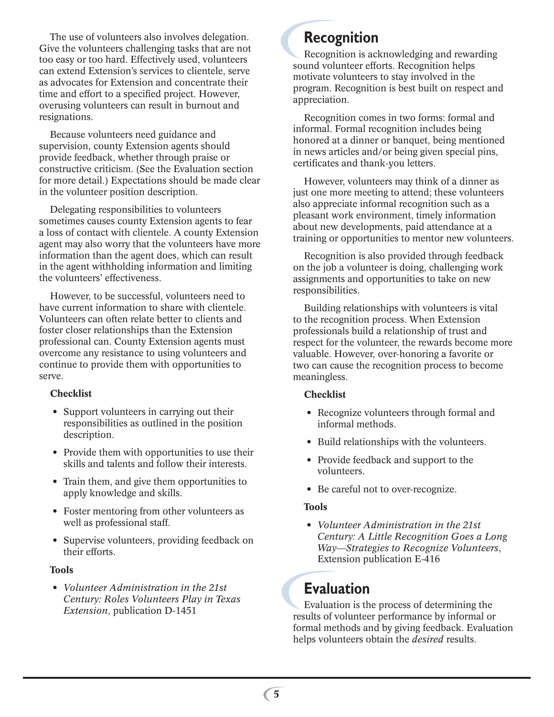The use of volunteers also involves delegation. Give the volunteers challenging tasks that are not too easy or too hard. Effectively used, volunteers can extend Extension's services to clientele, serve as advocates for Extension and concentrate their time and effort to a specified project. However, overusing volunteers can result in burnout and resignations.

Because volunteers need guidance and supervision, county Extension agents should provide feedback, whether through praise or constructive criticism. (See the Evaluation section for more detail.) Expectations should be made clear in the volunteer position description.

Delegating responsibilities to volunteers sometimes causes county Extension agents to fear a loss of contact with clientele. A county Extension agent may also worry that the volunteers have more information than the agent does, which can result in the agent withholding information and limiting the volunteers' effectiveness.

However, to be successful, volunteers need to have current information to share with clientele. Volunteers can often relate better to clients and foster closer relationships than the Extension professional can. County Extension agents must overcome any resistance to using volunteers and continue to provide them with opportunities to serve.

#### **Checklist**

- Support volunteers in carrying out their responsibilities as outlined in the position description.
- Provide them with opportunities to use their skills and talents and follow their interests.
- Train them, and give them opportunities to apply knowledge and skills.
- Foster mentoring from other volunteers as well as professional staff.
- Supervise volunteers, providing feedback on their efforts.

#### **Tools**

• *Volunteer Administration in the 21st Century: Roles Volunteers Play in Texas Extension*, publication D-1451

### **Recognition**

Recognition is acknowledging and rewarding sound volunteer efforts. Recognition helps motivate volunteers to stay involved in the program. Recognition is best built on respect and appreciation.

Recognition comes in two forms: formal and informal. Formal recognition includes being honored at a dinner or banquet, being mentioned in news articles and/or being given special pins, certificates and thank-you letters.

However, volunteers may think of a dinner as just one more meeting to attend; these volunteers also appreciate informal recognition such as a pleasant work environment, timely information about new developments, paid attendance at a training or opportunities to mentor new volunteers.

Recognition is also provided through feedback on the job a volunteer is doing, challenging work assignments and opportunities to take on new responsibilities.

Building relationships with volunteers is vital to the recognition process. When Extension professionals build a relationship of trust and respect for the volunteer, the rewards become more valuable. However, over-honoring a favorite or two can cause the recognition process to become meaningless.

#### **Checklist**

- Recognize volunteers through formal and informal methods.
- Build relationships with the volunteers.
- Provide feedback and support to the volunteers.
- Be careful not to over-recognize.

#### **Tools**

• *Volunteer Administration in the 21st Century: A Little Recognition Goes a Long Way—Strategies to Recognize Volunteers*, Extension publication E-416

### **Evaluation**

Evaluation is the process of determining the results of volunteer performance by informal or formal methods and by giving feedback. Evaluation helps volunteers obtain the *desired* results.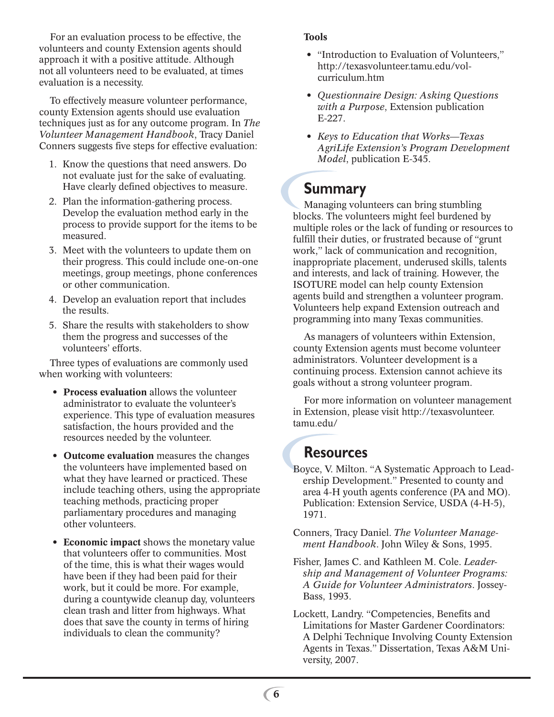For an evaluation process to be effective, the volunteers and county Extension agents should approach it with a positive attitude. Although not all volunteers need to be evaluated, at times evaluation is a necessity.

To effectively measure volunteer performance, county Extension agents should use evaluation techniques just as for any outcome program. In *The Volunteer Management Handbook*, Tracy Daniel Conners suggests five steps for effective evaluation:

- 1. Know the questions that need answers. Do not evaluate just for the sake of evaluating. Have clearly defined objectives to measure.
- 2. Plan the information-gathering process. Develop the evaluation method early in the process to provide support for the items to be measured.
- 3. Meet with the volunteers to update them on their progress. This could include one-on-one meetings, group meetings, phone conferences or other communication.
- 4. Develop an evaluation report that includes the results.
- 5. Share the results with stakeholders to show them the progress and successes of the volunteers' efforts.

Three types of evaluations are commonly used when working with volunteers:

- **Process evaluation** allows the volunteer administrator to evaluate the volunteer's experience. This type of evaluation measures satisfaction, the hours provided and the resources needed by the volunteer.
- **Outcome evaluation** measures the changes the volunteers have implemented based on what they have learned or practiced. These include teaching others, using the appropriate teaching methods, practicing proper parliamentary procedures and managing other volunteers.
- **Economic impact** shows the monetary value that volunteers offer to communities. Most of the time, this is what their wages would have been if they had been paid for their work, but it could be more. For example, during a countywide cleanup day, volunteers clean trash and litter from highways. What does that save the county in terms of hiring individuals to clean the community?

#### **Tools**

- "Introduction to Evaluation of Volunteers," http://texasvolunteer.tamu.edu/volcurriculum.htm
- *Questionnaire Design: Asking Questions with a Purpose*, Extension publication E-227.
- *Keys to Education that Works—Texas AgriLife Extension's Program Development Model*, publication E-345.

### **Summary**

Managing volunteers can bring stumbling blocks. The volunteers might feel burdened by multiple roles or the lack of funding or resources to fulfill their duties, or frustrated because of "grunt work," lack of communication and recognition, inappropriate placement, underused skills, talents and interests, and lack of training. However, the ISOTURE model can help county Extension agents build and strengthen a volunteer program. Volunteers help expand Extension outreach and programming into many Texas communities.

As managers of volunteers within Extension, county Extension agents must become volunteer administrators. Volunteer development is a continuing process. Extension cannot achieve its goals without a strong volunteer program.

For more information on volunteer management in Extension, please visit http://texasvolunteer. tamu.edu/

### **Resources**

- Boyce, V. Milton. "A Systematic Approach to Leadership Development." Presented to county and area 4-H youth agents conference (PA and MO). Publication: Extension Service, USDA (4-H-5), 1971.
- Conners, Tracy Daniel. *The Volunteer Management Handbook*. John Wiley & Sons, 1995.
- Fisher, James C. and Kathleen M. Cole. *Leadership and Management of Volunteer Programs: A Guide for Volunteer Administrators*. Jossey-Bass, 1993.
- Lockett, Landry. "Competencies, Benefits and Limitations for Master Gardener Coordinators: A Delphi Technique Involving County Extension Agents in Texas." Dissertation, Texas A&M University, 2007.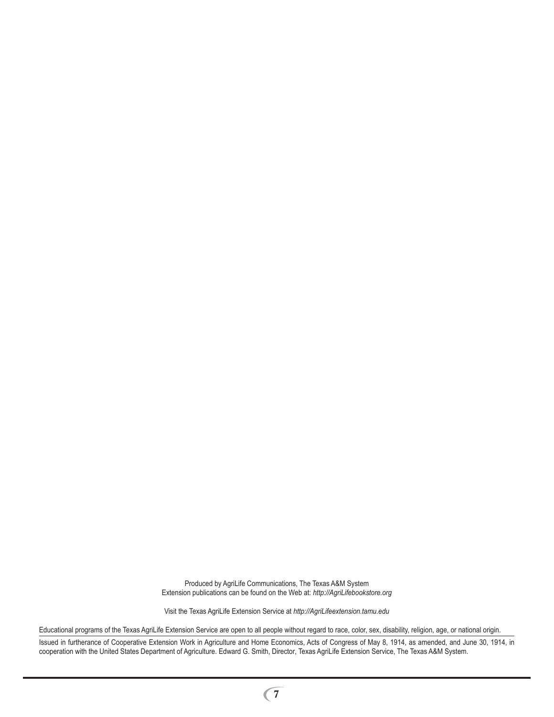Produced by AgriLife Communications, The Texas A&M System Extension publications can be found on the Web at: *http://AgriLifebookstore.org*

Visit the Texas AgriLife Extension Service at *http://AgriLifeextension.tamu.edu*

Educational programs of the Texas AgriLife Extension Service are open to all people without regard to race, color, sex, disability, religion, age, or national origin.

Issued in furtherance of Cooperative Extension Work in Agriculture and Home Economics, Acts of Congress of May 8, 1914, as amended, and June 30, 1914, in cooperation with the United States Department of Agriculture. Edward G. Smith, Director, Texas AgriLife Extension Service, The Texas A&M System.